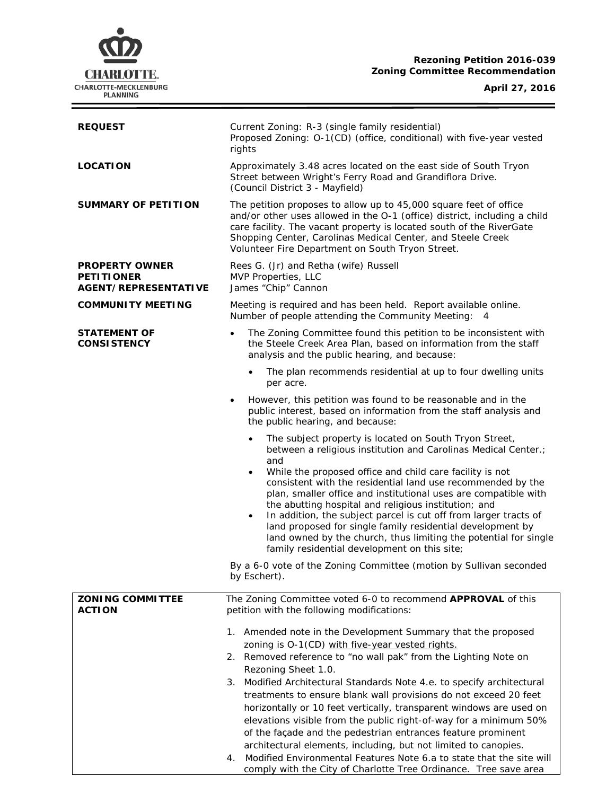# **CHARLOTTE.** CHARLOTTE-MECKLENBURG<br>PLANNING

## **Rezoning Petition 2016-039 Zoning Committee Recommendation**

# **April 27, 2016**

i<br>L

| <b>REQUEST</b>                                                            | Current Zoning: R-3 (single family residential)<br>Proposed Zoning: O-1(CD) (office, conditional) with five-year vested<br>rights                                                                                                                                                                                                                                                                                                                                                                                                                                                                                                                                                                                       |  |  |
|---------------------------------------------------------------------------|-------------------------------------------------------------------------------------------------------------------------------------------------------------------------------------------------------------------------------------------------------------------------------------------------------------------------------------------------------------------------------------------------------------------------------------------------------------------------------------------------------------------------------------------------------------------------------------------------------------------------------------------------------------------------------------------------------------------------|--|--|
| <b>LOCATION</b>                                                           | Approximately 3.48 acres located on the east side of South Tryon<br>Street between Wright's Ferry Road and Grandiflora Drive.<br>(Council District 3 - Mayfield)                                                                                                                                                                                                                                                                                                                                                                                                                                                                                                                                                        |  |  |
| <b>SUMMARY OF PETITION</b>                                                | The petition proposes to allow up to 45,000 square feet of office<br>and/or other uses allowed in the O-1 (office) district, including a child<br>care facility. The vacant property is located south of the RiverGate<br>Shopping Center, Carolinas Medical Center, and Steele Creek<br>Volunteer Fire Department on South Tryon Street.                                                                                                                                                                                                                                                                                                                                                                               |  |  |
| <b>PROPERTY OWNER</b><br><b>PETITIONER</b><br><b>AGENT/REPRESENTATIVE</b> | Rees G. (Jr) and Retha (wife) Russell<br>MVP Properties, LLC<br>James "Chip" Cannon                                                                                                                                                                                                                                                                                                                                                                                                                                                                                                                                                                                                                                     |  |  |
| <b>COMMUNITY MEETING</b>                                                  | Meeting is required and has been held. Report available online.<br>Number of people attending the Community Meeting: 4                                                                                                                                                                                                                                                                                                                                                                                                                                                                                                                                                                                                  |  |  |
| <b>STATEMENT OF</b><br><b>CONSISTENCY</b>                                 | The Zoning Committee found this petition to be inconsistent with<br>$\bullet$<br>the Steele Creek Area Plan, based on information from the staff<br>analysis and the public hearing, and because:                                                                                                                                                                                                                                                                                                                                                                                                                                                                                                                       |  |  |
|                                                                           | The plan recommends residential at up to four dwelling units<br>$\bullet$<br>per acre.                                                                                                                                                                                                                                                                                                                                                                                                                                                                                                                                                                                                                                  |  |  |
|                                                                           | However, this petition was found to be reasonable and in the<br>public interest, based on information from the staff analysis and<br>the public hearing, and because:                                                                                                                                                                                                                                                                                                                                                                                                                                                                                                                                                   |  |  |
|                                                                           | The subject property is located on South Tryon Street,<br>between a religious institution and Carolinas Medical Center.;<br>and<br>While the proposed office and child care facility is not<br>$\bullet$<br>consistent with the residential land use recommended by the<br>plan, smaller office and institutional uses are compatible with<br>the abutting hospital and religious institution; and<br>In addition, the subject parcel is cut off from larger tracts of<br>$\bullet$<br>land proposed for single family residential development by<br>land owned by the church, thus limiting the potential for single<br>family residential development on this site;                                                   |  |  |
|                                                                           | By a 6-0 vote of the Zoning Committee (motion by Sullivan seconded<br>by Eschert).                                                                                                                                                                                                                                                                                                                                                                                                                                                                                                                                                                                                                                      |  |  |
| <b>ZONING COMMITTEE</b><br><b>ACTION</b>                                  | The Zoning Committee voted 6-0 to recommend APPROVAL of this<br>petition with the following modifications:                                                                                                                                                                                                                                                                                                                                                                                                                                                                                                                                                                                                              |  |  |
|                                                                           | 1. Amended note in the Development Summary that the proposed<br>zoning is O-1(CD) with five-year vested rights.<br>2. Removed reference to "no wall pak" from the Lighting Note on<br>Rezoning Sheet 1.0.<br>3.<br>Modified Architectural Standards Note 4.e. to specify architectural<br>treatments to ensure blank wall provisions do not exceed 20 feet<br>horizontally or 10 feet vertically, transparent windows are used on<br>elevations visible from the public right-of-way for a minimum 50%<br>of the façade and the pedestrian entrances feature prominent<br>architectural elements, including, but not limited to canopies.<br>Modified Environmental Features Note 6.a to state that the site will<br>4. |  |  |
|                                                                           | comply with the City of Charlotte Tree Ordinance. Tree save area                                                                                                                                                                                                                                                                                                                                                                                                                                                                                                                                                                                                                                                        |  |  |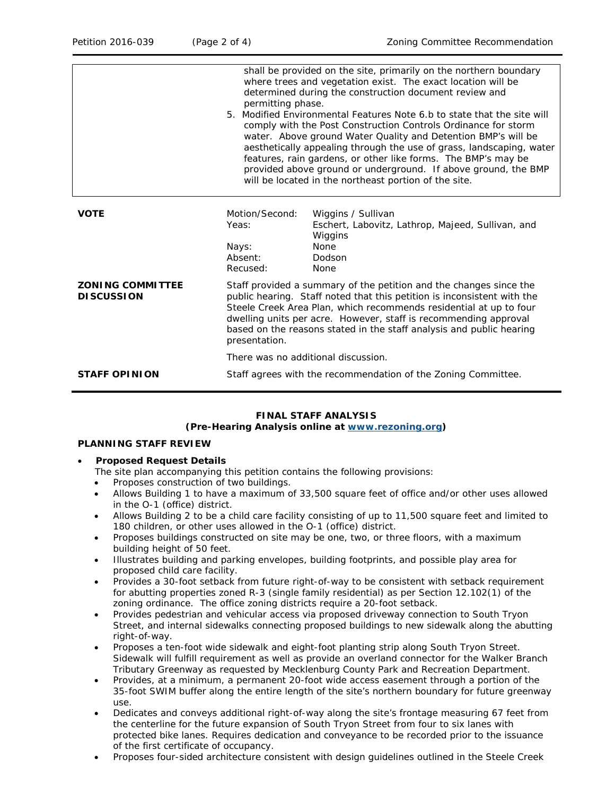|                                              | shall be provided on the site, primarily on the northern boundary<br>where trees and vegetation exist. The exact location will be<br>determined during the construction document review and<br>permitting phase.<br>5. Modified Environmental Features Note 6.b to state that the site will<br>comply with the Post Construction Controls Ordinance for storm<br>water. Above ground Water Quality and Detention BMP's will be<br>aesthetically appealing through the use of grass, landscaping, water<br>features, rain gardens, or other like forms. The BMP's may be<br>provided above ground or underground. If above ground, the BMP<br>will be located in the northeast portion of the site. |                                                                                                                     |  |
|----------------------------------------------|----------------------------------------------------------------------------------------------------------------------------------------------------------------------------------------------------------------------------------------------------------------------------------------------------------------------------------------------------------------------------------------------------------------------------------------------------------------------------------------------------------------------------------------------------------------------------------------------------------------------------------------------------------------------------------------------------|---------------------------------------------------------------------------------------------------------------------|--|
| <b>VOTE</b>                                  | Motion/Second:<br>Yeas:<br>Nays:<br>Absent:<br>Recused:                                                                                                                                                                                                                                                                                                                                                                                                                                                                                                                                                                                                                                            | Wiggins / Sullivan<br>Eschert, Labovitz, Lathrop, Majeed, Sullivan, and<br>Wiggins<br>None<br>Dodson<br><b>None</b> |  |
| <b>ZONING COMMITTEE</b><br><b>DISCUSSION</b> | Staff provided a summary of the petition and the changes since the<br>public hearing. Staff noted that this petition is inconsistent with the<br>Steele Creek Area Plan, which recommends residential at up to four<br>dwelling units per acre. However, staff is recommending approval<br>based on the reasons stated in the staff analysis and public hearing<br>presentation.<br>There was no additional discussion.                                                                                                                                                                                                                                                                            |                                                                                                                     |  |
|                                              |                                                                                                                                                                                                                                                                                                                                                                                                                                                                                                                                                                                                                                                                                                    |                                                                                                                     |  |
| <b>STAFF OPINION</b>                         | Staff agrees with the recommendation of the Zoning Committee.                                                                                                                                                                                                                                                                                                                                                                                                                                                                                                                                                                                                                                      |                                                                                                                     |  |

#### **FINAL STAFF ANALYSIS (Pre-Hearing Analysis online at [www.rezoning.org\)](http://www.rezoning.org/)**

## **PLANNING STAFF REVIEW**

### • **Proposed Request Details**

The site plan accompanying this petition contains the following provisions:

- Proposes construction of two buildings.
- Allows Building 1 to have a maximum of 33,500 square feet of office and/or other uses allowed in the O-1 (office) district.
- Allows Building 2 to be a child care facility consisting of up to 11,500 square feet and limited to 180 children, or other uses allowed in the O-1 (office) district.
- Proposes buildings constructed on site may be one, two, or three floors, with a maximum building height of 50 feet.
- Illustrates building and parking envelopes, building footprints, and possible play area for proposed child care facility.
- Provides a 30-foot setback from future right-of-way to be consistent with setback requirement for abutting properties zoned R-3 (single family residential) as per Section 12.102(1) of the zoning ordinance. The office zoning districts require a 20-foot setback.
- Provides pedestrian and vehicular access via proposed driveway connection to South Tryon Street, and internal sidewalks connecting proposed buildings to new sidewalk along the abutting right-of-way.
- Proposes a ten-foot wide sidewalk and eight-foot planting strip along South Tryon Street. Sidewalk will fulfill requirement as well as provide an overland connector for the Walker Branch Tributary Greenway as requested by Mecklenburg County Park and Recreation Department.
- Provides, at a minimum, a permanent 20-foot wide access easement through a portion of the 35-foot SWIM buffer along the entire length of the site's northern boundary for future greenway use.
- Dedicates and conveys additional right-of-way along the site's frontage measuring 67 feet from the centerline for the future expansion of South Tryon Street from four to six lanes with protected bike lanes. Requires dedication and conveyance to be recorded prior to the issuance of the first certificate of occupancy.
- Proposes four-sided architecture consistent with design guidelines outlined in the *Steele Creek*